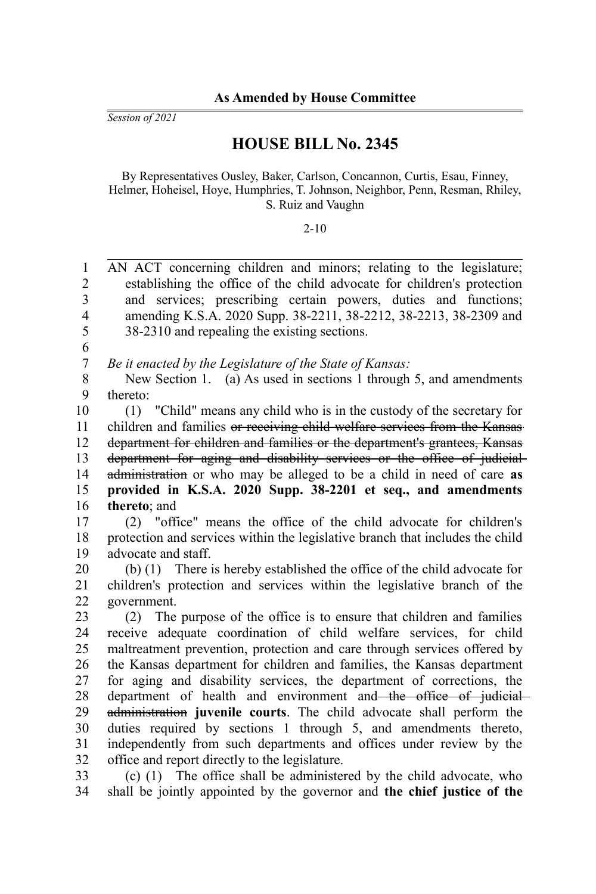*Session of 2021*

## **HOUSE BILL No. 2345**

By Representatives Ousley, Baker, Carlson, Concannon, Curtis, Esau, Finney, Helmer, Hoheisel, Hoye, Humphries, T. Johnson, Neighbor, Penn, Resman, Rhiley, S. Ruiz and Vaughn

### 2-10

AN ACT concerning children and minors; relating to the legislature; establishing the office of the child advocate for children's protection and services; prescribing certain powers, duties and functions; amending K.S.A. 2020 Supp. 38-2211, 38-2212, 38-2213, 38-2309 and 38-2310 and repealing the existing sections. 1  $\mathcal{D}_{\mathcal{L}}$ 3 4 5

6

*Be it enacted by the Legislature of the State of Kansas:* 7

New Section 1. (a) As used in sections 1 through 5, and amendments thereto: 8 9

(1) "Child" means any child who is in the custody of the secretary for children and families or receiving child welfare services from the Kansas department for children and families or the department's grantees, Kansas department for aging and disability services or the office of judicialadministration or who may be alleged to be a child in need of care **as provided in K.S.A. 2020 Supp. 38-2201 et seq., and amendments thereto**; and 10 11 12 13 14 15 16

(2) "office" means the office of the child advocate for children's protection and services within the legislative branch that includes the child advocate and staff. 17 18 19

(b) (1) There is hereby established the office of the child advocate for children's protection and services within the legislative branch of the government. 20 21 22

(2) The purpose of the office is to ensure that children and families receive adequate coordination of child welfare services, for child maltreatment prevention, protection and care through services offered by the Kansas department for children and families, the Kansas department for aging and disability services, the department of corrections, the department of health and environment and the office of judicial administration **juvenile courts**. The child advocate shall perform the duties required by sections 1 through 5, and amendments thereto, independently from such departments and offices under review by the office and report directly to the legislature. 23 24 25 26 27 28 29 30 31 32

(c) (1) The office shall be administered by the child advocate, who shall be jointly appointed by the governor and **the chief justice of the** 33 34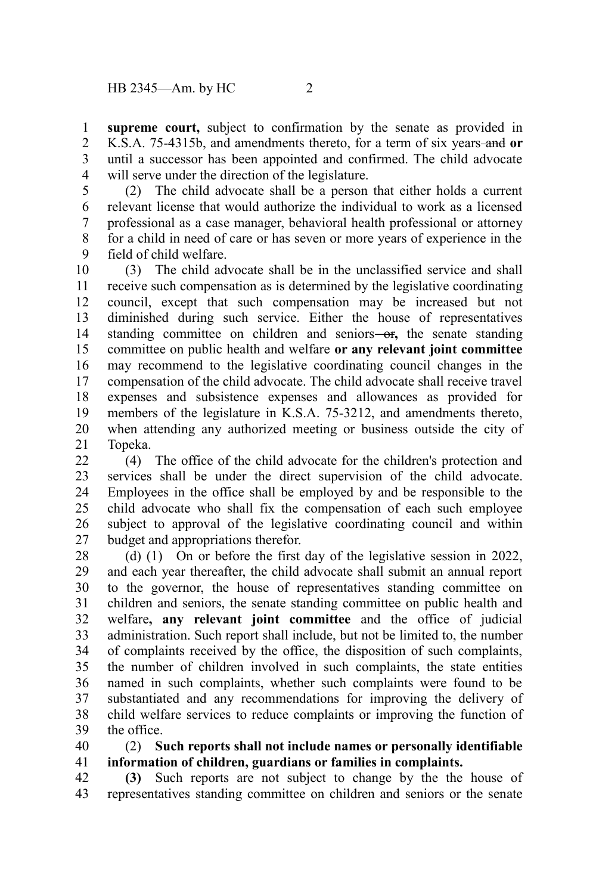**supreme court,** subject to confirmation by the senate as provided in K.S.A. 75-4315b, and amendments thereto, for a term of six years and **or** until a successor has been appointed and confirmed. The child advocate will serve under the direction of the legislature. 1 2 3 4

(2) The child advocate shall be a person that either holds a current relevant license that would authorize the individual to work as a licensed professional as a case manager, behavioral health professional or attorney for a child in need of care or has seven or more years of experience in the field of child welfare. 5 6 7 8 9

(3) The child advocate shall be in the unclassified service and shall receive such compensation as is determined by the legislative coordinating council, except that such compensation may be increased but not diminished during such service. Either the house of representatives standing committee on children and seniors-or, the senate standing committee on public health and welfare **or any relevant joint committee** may recommend to the legislative coordinating council changes in the compensation of the child advocate. The child advocate shall receive travel expenses and subsistence expenses and allowances as provided for members of the legislature in K.S.A. 75-3212, and amendments thereto, when attending any authorized meeting or business outside the city of Topeka. 10 11 12 13 14 15 16 17 18 19 20 21

(4) The office of the child advocate for the children's protection and services shall be under the direct supervision of the child advocate. Employees in the office shall be employed by and be responsible to the child advocate who shall fix the compensation of each such employee subject to approval of the legislative coordinating council and within budget and appropriations therefor. 22 23 24 25 26 27

(d) (1) On or before the first day of the legislative session in 2022, and each year thereafter, the child advocate shall submit an annual report to the governor, the house of representatives standing committee on children and seniors, the senate standing committee on public health and welfare**, any relevant joint committee** and the office of judicial administration. Such report shall include, but not be limited to, the number of complaints received by the office, the disposition of such complaints, the number of children involved in such complaints, the state entities named in such complaints, whether such complaints were found to be substantiated and any recommendations for improving the delivery of child welfare services to reduce complaints or improving the function of the office. 28 29 30 31 32 33 34 35 36 37 38 39

#### (2) **Such reports shall not include names or personally identifiable information of children, guardians or families in complaints.** 40 41

**(3)** Such reports are not subject to change by the the house of representatives standing committee on children and seniors or the senate 42 43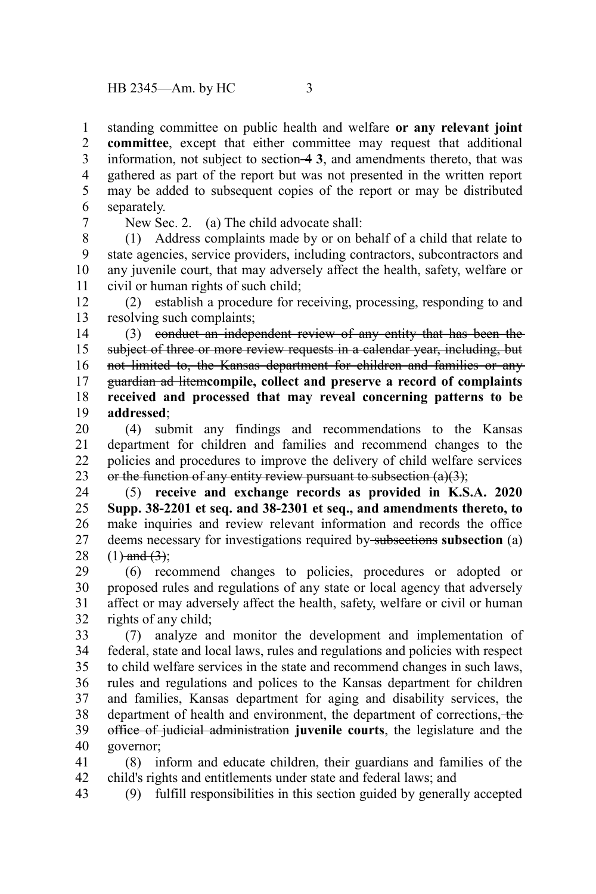standing committee on public health and welfare **or any relevant joint committee**, except that either committee may request that additional information, not subject to section 4 **3**, and amendments thereto, that was gathered as part of the report but was not presented in the written report may be added to subsequent copies of the report or may be distributed separately. 1 2 3 4 5 6

7

New Sec. 2. (a) The child advocate shall:

(1) Address complaints made by or on behalf of a child that relate to state agencies, service providers, including contractors, subcontractors and any juvenile court, that may adversely affect the health, safety, welfare or civil or human rights of such child; 8 9 10 11

(2) establish a procedure for receiving, processing, responding to and resolving such complaints; 12 13

(3) conduct an independent review of any entity that has been the subject of three or more review requests in a calendar year, including, but not limited to, the Kansas department for children and families or any guardian ad litem**compile, collect and preserve a record of complaints received and processed that may reveal concerning patterns to be addressed**; 14 15 16 17 18 19

(4) submit any findings and recommendations to the Kansas department for children and families and recommend changes to the policies and procedures to improve the delivery of child welfare services or the function of any entity review pursuant to subsection  $(a)(3)$ ; 20 21 22 23

(5) **receive and exchange records as provided in K.S.A. 2020 Supp. 38-2201 et seq. and 38-2301 et seq., and amendments thereto, to** make inquiries and review relevant information and records the office deems necessary for investigations required by subsections subsection (a)  $(1)$ -and  $(3)$ ; 24 25 26 27 28

(6) recommend changes to policies, procedures or adopted or proposed rules and regulations of any state or local agency that adversely affect or may adversely affect the health, safety, welfare or civil or human rights of any child; 29 30 31 32

(7) analyze and monitor the development and implementation of federal, state and local laws, rules and regulations and policies with respect to child welfare services in the state and recommend changes in such laws, rules and regulations and polices to the Kansas department for children and families, Kansas department for aging and disability services, the department of health and environment, the department of corrections, the office of judicial administration **juvenile courts**, the legislature and the governor; 33 34 35 36 37 38 39 40

(8) inform and educate children, their guardians and families of the child's rights and entitlements under state and federal laws; and 41 42

(9) fulfill responsibilities in this section guided by generally accepted 43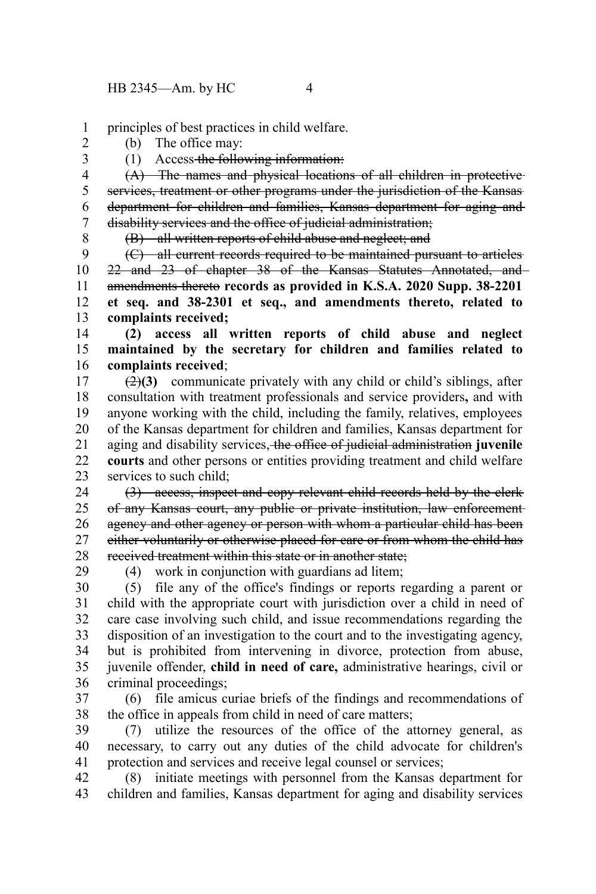principles of best practices in child welfare. 1

(b) The office may: 2

3

(1) Access the following information:

(A) The names and physical locations of all children in protective services, treatment or other programs under the jurisdiction of the Kansas department for children and families, Kansas department for aging and disability services and the office of judicial administration; 4 5 6 7 8

(B) all written reports of child abuse and neglect; and

(C) all current records required to be maintained pursuant to articles 22 and 23 of chapter 38 of the Kansas Statutes Annotated, and amendments thereto **records as provided in K.S.A. 2020 Supp. 38-2201 et seq. and 38-2301 et seq., and amendments thereto, related to complaints received;** 9 10 11 12 13

**(2) access all written reports of child abuse and neglect maintained by the secretary for children and families related to complaints received**; 14 15 16

(2)**(3)** communicate privately with any child or child's siblings, after consultation with treatment professionals and service providers**,** and with anyone working with the child, including the family, relatives, employees of the Kansas department for children and families, Kansas department for aging and disability services, the office of judicial administration **juvenile courts** and other persons or entities providing treatment and child welfare services to such child; 17 18 19 20 21 22 23

(3) access, inspect and copy relevant child records held by the clerk of any Kansas court, any public or private institution, law enforcement agency and other agency or person with whom a particular child has been either voluntarily or otherwise placed for care or from whom the child has received treatment within this state or in another state; 24 25 26 27 28

29

(4) work in conjunction with guardians ad litem;

(5) file any of the office's findings or reports regarding a parent or child with the appropriate court with jurisdiction over a child in need of care case involving such child, and issue recommendations regarding the disposition of an investigation to the court and to the investigating agency, but is prohibited from intervening in divorce, protection from abuse, juvenile offender, **child in need of care,** administrative hearings, civil or criminal proceedings; 30 31 32 33 34 35 36

(6) file amicus curiae briefs of the findings and recommendations of the office in appeals from child in need of care matters; 37 38

(7) utilize the resources of the office of the attorney general, as necessary, to carry out any duties of the child advocate for children's protection and services and receive legal counsel or services; 39 40 41

(8) initiate meetings with personnel from the Kansas department for children and families, Kansas department for aging and disability services 42 43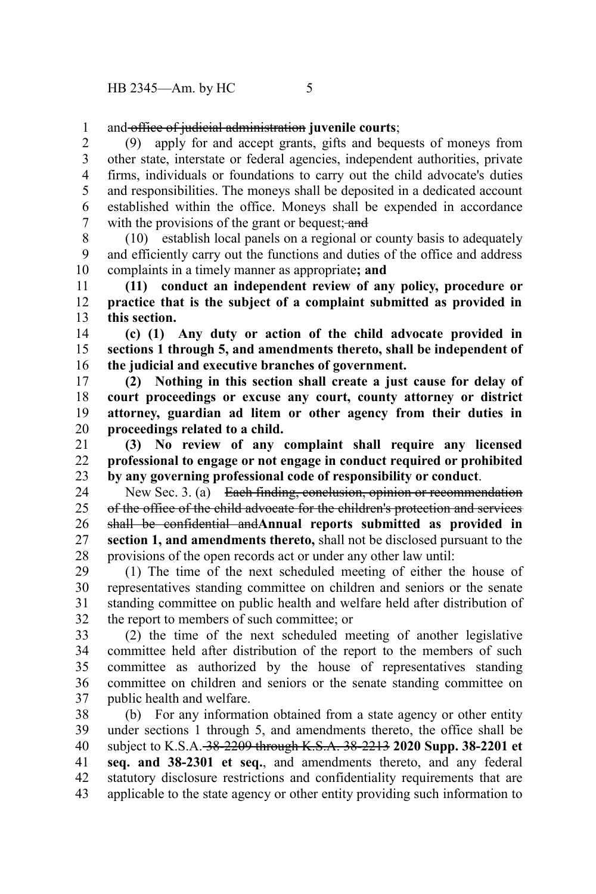and office of judicial administration **juvenile courts**; 1

(9) apply for and accept grants, gifts and bequests of moneys from other state, interstate or federal agencies, independent authorities, private firms, individuals or foundations to carry out the child advocate's duties and responsibilities. The moneys shall be deposited in a dedicated account established within the office. Moneys shall be expended in accordance with the provisions of the grant or bequest; and 2 3 4 5 6 7

(10) establish local panels on a regional or county basis to adequately and efficiently carry out the functions and duties of the office and address complaints in a timely manner as appropriate**; and**  8 9 10

**(11) conduct an independent review of any policy, procedure or practice that is the subject of a complaint submitted as provided in this section.** 11 12 13

**(c) (1) Any duty or action of the child advocate provided in sections 1 through 5, and amendments thereto, shall be independent of the judicial and executive branches of government.** 14 15 16

**(2) Nothing in this section shall create a just cause for delay of court proceedings or excuse any court, county attorney or district attorney, guardian ad litem or other agency from their duties in proceedings related to a child.** 17 18 19 20

**(3) No review of any complaint shall require any licensed professional to engage or not engage in conduct required or prohibited by any governing professional code of responsibility or conduct**. 21 22 23

New Sec. 3. (a) Each finding, conclusion, opinion or recommendation of the office of the child advocate for the children's protection and services shall be confidential and**Annual reports submitted as provided in section 1, and amendments thereto,** shall not be disclosed pursuant to the provisions of the open records act or under any other law until: 24 25 26 27 28

(1) The time of the next scheduled meeting of either the house of representatives standing committee on children and seniors or the senate standing committee on public health and welfare held after distribution of the report to members of such committee; or 29 30 31 32

(2) the time of the next scheduled meeting of another legislative committee held after distribution of the report to the members of such committee as authorized by the house of representatives standing committee on children and seniors or the senate standing committee on public health and welfare. 33 34 35 36 37

(b) For any information obtained from a state agency or other entity under sections 1 through 5, and amendments thereto, the office shall be subject to K.S.A. 38-2209 through K.S.A. 38-2213 **2020 Supp. 38-2201 et seq. and 38-2301 et seq.**, and amendments thereto, and any federal statutory disclosure restrictions and confidentiality requirements that are applicable to the state agency or other entity providing such information to 38 39 40 41 42 43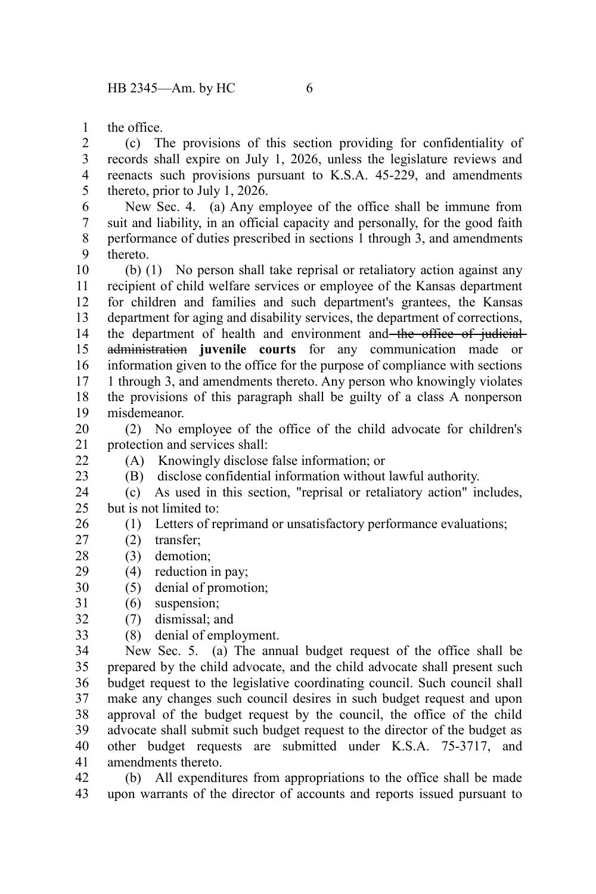the office. 1

(c) The provisions of this section providing for confidentiality of records shall expire on July 1, 2026, unless the legislature reviews and reenacts such provisions pursuant to K.S.A. 45-229, and amendments thereto, prior to July 1, 2026. 2 3 4 5

New Sec. 4. (a) Any employee of the office shall be immune from suit and liability, in an official capacity and personally, for the good faith performance of duties prescribed in sections 1 through 3, and amendments thereto. 6 7 8 9

(b) (1) No person shall take reprisal or retaliatory action against any recipient of child welfare services or employee of the Kansas department for children and families and such department's grantees, the Kansas department for aging and disability services, the department of corrections, the department of health and environment and the office of judicialadministration **juvenile courts** for any communication made or information given to the office for the purpose of compliance with sections 1 through 3, and amendments thereto. Any person who knowingly violates the provisions of this paragraph shall be guilty of a class A nonperson misdemeanor. 10 11 12 13 14 15 16 17 18 19

(2) No employee of the office of the child advocate for children's protection and services shall: 20 21

 $22$ 23

- (A) Knowingly disclose false information; or
- (B) disclose confidential information without lawful authority.

(c) As used in this section, "reprisal or retaliatory action" includes, but is not limited to: 24 25

- (1) Letters of reprimand or unsatisfactory performance evaluations; 26
- (2) transfer; 27
- (3) demotion; 28
- (4) reduction in pay; 29
- (5) denial of promotion; 30
- (6) suspension; 31
- (7) dismissal; and 32
- (8) denial of employment. 33

New Sec. 5. (a) The annual budget request of the office shall be prepared by the child advocate, and the child advocate shall present such budget request to the legislative coordinating council. Such council shall make any changes such council desires in such budget request and upon approval of the budget request by the council, the office of the child advocate shall submit such budget request to the director of the budget as other budget requests are submitted under K.S.A. 75-3717, and amendments thereto. 34 35 36 37 38 39 40 41

(b) All expenditures from appropriations to the office shall be made upon warrants of the director of accounts and reports issued pursuant to 42 43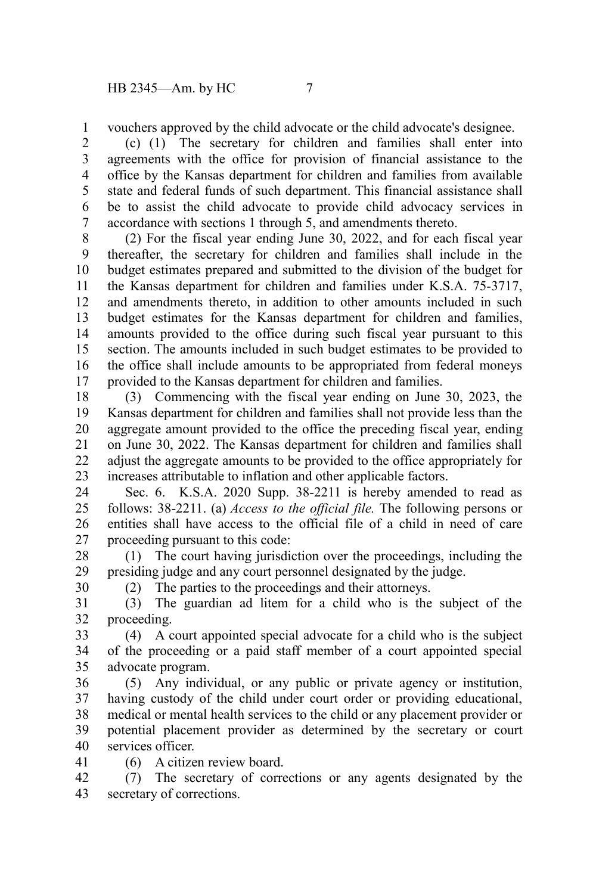vouchers approved by the child advocate or the child advocate's designee. 1

(c) (1) The secretary for children and families shall enter into agreements with the office for provision of financial assistance to the office by the Kansas department for children and families from available state and federal funds of such department. This financial assistance shall be to assist the child advocate to provide child advocacy services in accordance with sections 1 through 5, and amendments thereto. 2 3 4 5 6 7

(2) For the fiscal year ending June 30, 2022, and for each fiscal year thereafter, the secretary for children and families shall include in the budget estimates prepared and submitted to the division of the budget for the Kansas department for children and families under K.S.A. 75-3717, and amendments thereto, in addition to other amounts included in such budget estimates for the Kansas department for children and families, amounts provided to the office during such fiscal year pursuant to this section. The amounts included in such budget estimates to be provided to the office shall include amounts to be appropriated from federal moneys provided to the Kansas department for children and families. 8 9 10 11 12 13 14 15 16 17

(3) Commencing with the fiscal year ending on June 30, 2023, the Kansas department for children and families shall not provide less than the aggregate amount provided to the office the preceding fiscal year, ending on June 30, 2022. The Kansas department for children and families shall adjust the aggregate amounts to be provided to the office appropriately for increases attributable to inflation and other applicable factors. 18 19 20 21 22 23

Sec. 6. K.S.A. 2020 Supp. 38-2211 is hereby amended to read as follows: 38-2211. (a) *Access to the official file.* The following persons or entities shall have access to the official file of a child in need of care proceeding pursuant to this code: 24 25 26 27

(1) The court having jurisdiction over the proceedings, including the presiding judge and any court personnel designated by the judge. 28 29

(2) The parties to the proceedings and their attorneys.

(3) The guardian ad litem for a child who is the subject of the proceeding. 31 32

(4) A court appointed special advocate for a child who is the subject of the proceeding or a paid staff member of a court appointed special advocate program. 33 34 35

(5) Any individual, or any public or private agency or institution, having custody of the child under court order or providing educational, medical or mental health services to the child or any placement provider or potential placement provider as determined by the secretary or court services officer. 36 37 38 39 40

41

30

(6) A citizen review board.

(7) The secretary of corrections or any agents designated by the secretary of corrections. 42 43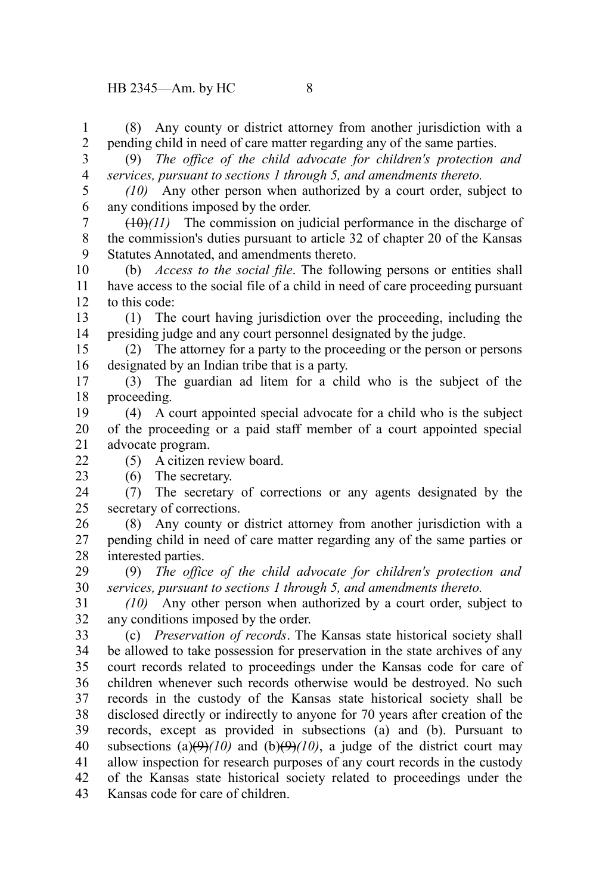to this code: presiding judge and any court personnel designated by the judge. designated by an Indian tribe that is a party. proceeding. advocate program. (5) A citizen review board. (6) The secretary. secretary of corrections. interested parties. *services, pursuant to sections 1 through 5, and amendments thereto.* any conditions imposed by the order. (c) *Preservation of records*. The Kansas state historical society shall Kansas code for care of children.  $22$ 23 33

(8) Any county or district attorney from another jurisdiction with a pending child in need of care matter regarding any of the same parties. 1 2

- (9) *The office of the child advocate for children's protection and services, pursuant to sections 1 through 5, and amendments thereto.* 3 4
- *(10)* Any other person when authorized by a court order, subject to any conditions imposed by the order. 5 6

 $(10)(11)$  The commission on judicial performance in the discharge of the commission's duties pursuant to article 32 of chapter 20 of the Kansas Statutes Annotated, and amendments thereto. 7 8 9

(b) *Access to the social file*. The following persons or entities shall have access to the social file of a child in need of care proceeding pursuant 10 11 12

(1) The court having jurisdiction over the proceeding, including the 13 14

(2) The attorney for a party to the proceeding or the person or persons 15 16

(3) The guardian ad litem for a child who is the subject of the 17 18

(4) A court appointed special advocate for a child who is the subject of the proceeding or a paid staff member of a court appointed special 19 20 21

(7) The secretary of corrections or any agents designated by the 24 25

(8) Any county or district attorney from another jurisdiction with a pending child in need of care matter regarding any of the same parties or 26 27 28

(9) *The office of the child advocate for children's protection and* 29 30

*(10)* Any other person when authorized by a court order, subject to 31 32

be allowed to take possession for preservation in the state archives of any court records related to proceedings under the Kansas code for care of children whenever such records otherwise would be destroyed. No such records in the custody of the Kansas state historical society shall be disclosed directly or indirectly to anyone for 70 years after creation of the records, except as provided in subsections (a) and (b). Pursuant to subsections (a) $(\theta)$  $(10)$  and (b) $(\theta)$  $(10)$ , a judge of the district court may allow inspection for research purposes of any court records in the custody of the Kansas state historical society related to proceedings under the 34 35 36 37 38 39 40 41 42

43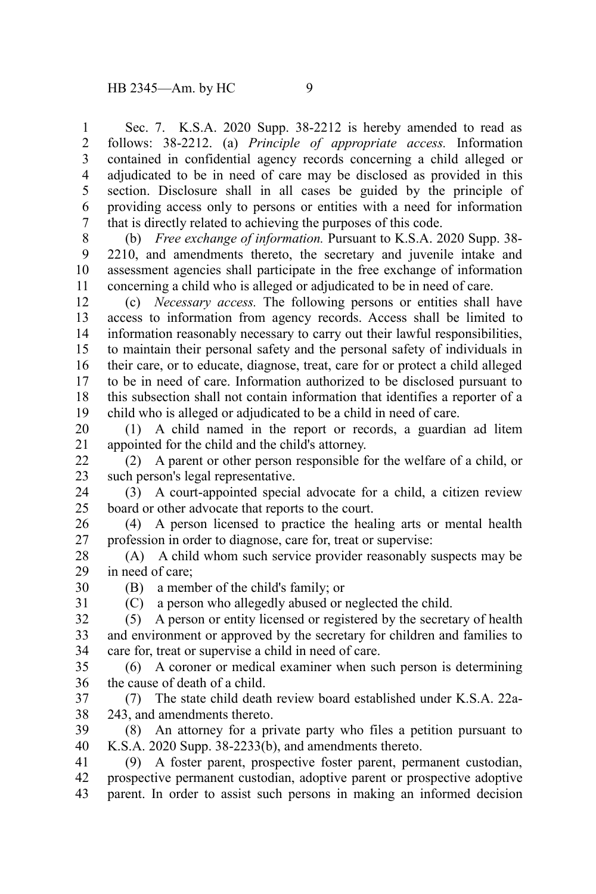Sec. 7. K.S.A. 2020 Supp. 38-2212 is hereby amended to read as follows: 38-2212. (a) *Principle of appropriate access.* Information contained in confidential agency records concerning a child alleged or adjudicated to be in need of care may be disclosed as provided in this section. Disclosure shall in all cases be guided by the principle of providing access only to persons or entities with a need for information that is directly related to achieving the purposes of this code. 1 2 3 4 5 6 7

(b) *Free exchange of information.* Pursuant to K.S.A. 2020 Supp. 38- 2210, and amendments thereto, the secretary and juvenile intake and assessment agencies shall participate in the free exchange of information concerning a child who is alleged or adjudicated to be in need of care. 8 9 10 11

(c) *Necessary access.* The following persons or entities shall have access to information from agency records. Access shall be limited to information reasonably necessary to carry out their lawful responsibilities, to maintain their personal safety and the personal safety of individuals in their care, or to educate, diagnose, treat, care for or protect a child alleged to be in need of care. Information authorized to be disclosed pursuant to this subsection shall not contain information that identifies a reporter of a child who is alleged or adjudicated to be a child in need of care. 12 13 14 15 16 17 18 19

(1) A child named in the report or records, a guardian ad litem appointed for the child and the child's attorney. 20 21

(2) A parent or other person responsible for the welfare of a child, or such person's legal representative. 22 23

(3) A court-appointed special advocate for a child, a citizen review board or other advocate that reports to the court. 24 25

(4) A person licensed to practice the healing arts or mental health profession in order to diagnose, care for, treat or supervise: 26 27

(A) A child whom such service provider reasonably suspects may be in need of care; 28 29

(B) a member of the child's family; or 30 31

(C) a person who allegedly abused or neglected the child.

(5) A person or entity licensed or registered by the secretary of health and environment or approved by the secretary for children and families to care for, treat or supervise a child in need of care. 32 33 34

(6) A coroner or medical examiner when such person is determining the cause of death of a child. 35 36

(7) The state child death review board established under K.S.A. 22a-243, and amendments thereto. 37 38

(8) An attorney for a private party who files a petition pursuant to K.S.A. 2020 Supp. 38-2233(b), and amendments thereto. 39 40

(9) A foster parent, prospective foster parent, permanent custodian, prospective permanent custodian, adoptive parent or prospective adoptive parent. In order to assist such persons in making an informed decision 41 42 43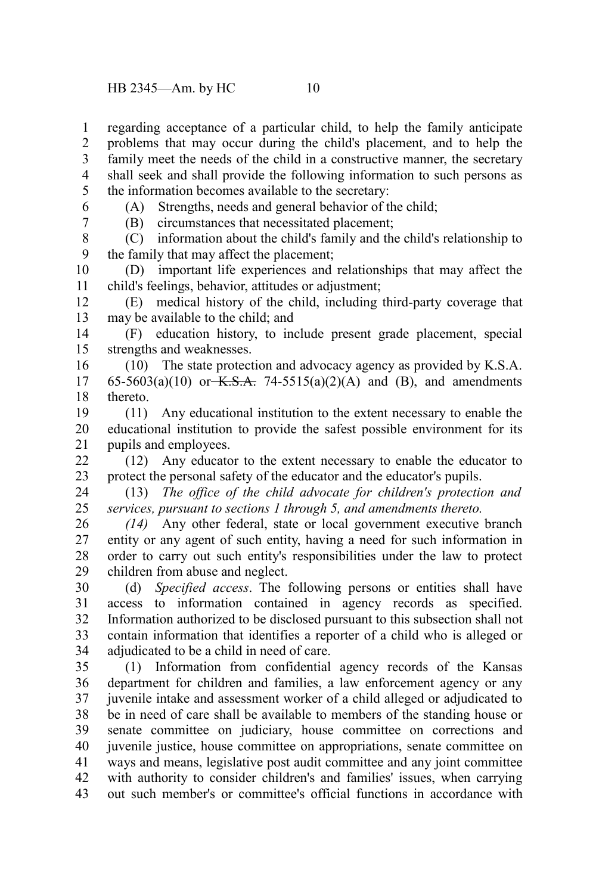regarding acceptance of a particular child, to help the family anticipate problems that may occur during the child's placement, and to help the family meet the needs of the child in a constructive manner, the secretary shall seek and shall provide the following information to such persons as the information becomes available to the secretary: 1 2 3 4 5

6 7 (A) Strengths, needs and general behavior of the child;

(B) circumstances that necessitated placement;

(C) information about the child's family and the child's relationship to the family that may affect the placement; 8 9

(D) important life experiences and relationships that may affect the child's feelings, behavior, attitudes or adjustment; 10 11

(E) medical history of the child, including third-party coverage that may be available to the child; and 12 13

(F) education history, to include present grade placement, special strengths and weaknesses. 14 15

(10) The state protection and advocacy agency as provided by K.S.A. 65-5603(a)(10) or K.S.A. 74-5515(a)(2)(A) and (B), and amendments thereto. 16 17 18

(11) Any educational institution to the extent necessary to enable the educational institution to provide the safest possible environment for its pupils and employees. 19 20 21

(12) Any educator to the extent necessary to enable the educator to protect the personal safety of the educator and the educator's pupils. 22 23

(13) *The office of the child advocate for children's protection and services, pursuant to sections 1 through 5, and amendments thereto.* 24 25

*(14)* Any other federal, state or local government executive branch entity or any agent of such entity, having a need for such information in order to carry out such entity's responsibilities under the law to protect children from abuse and neglect. 26 27 28 29

(d) *Specified access*. The following persons or entities shall have access to information contained in agency records as specified. Information authorized to be disclosed pursuant to this subsection shall not contain information that identifies a reporter of a child who is alleged or adjudicated to be a child in need of care. 30 31 32 33 34

(1) Information from confidential agency records of the Kansas department for children and families, a law enforcement agency or any juvenile intake and assessment worker of a child alleged or adjudicated to be in need of care shall be available to members of the standing house or senate committee on judiciary, house committee on corrections and juvenile justice, house committee on appropriations, senate committee on ways and means, legislative post audit committee and any joint committee with authority to consider children's and families' issues, when carrying out such member's or committee's official functions in accordance with 35 36 37 38 39 40 41 42 43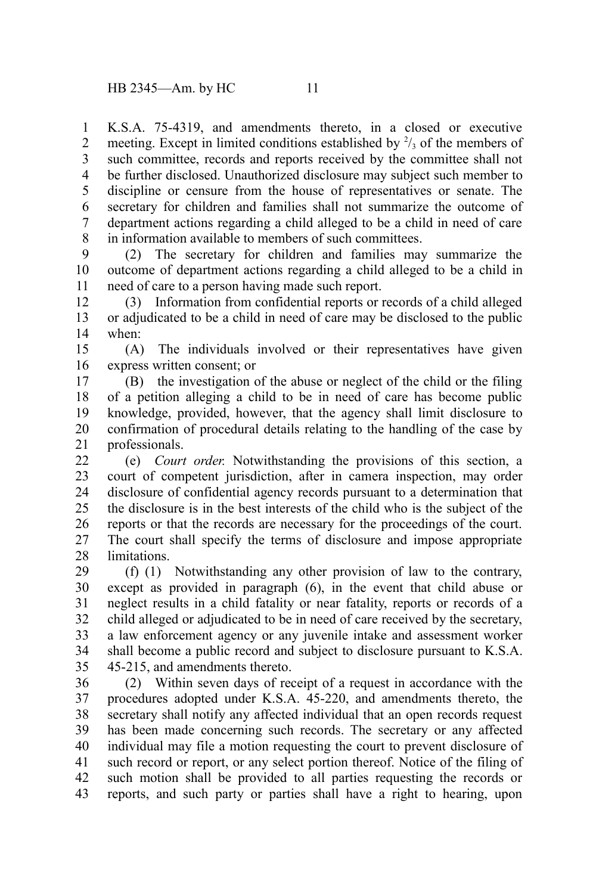K.S.A. 75-4319, and amendments thereto, in a closed or executive meeting. Except in limited conditions established by  $\frac{2}{3}$  of the members of such committee, records and reports received by the committee shall not be further disclosed. Unauthorized disclosure may subject such member to discipline or censure from the house of representatives or senate. The secretary for children and families shall not summarize the outcome of department actions regarding a child alleged to be a child in need of care in information available to members of such committees. 1 2 3 4 5 6 7 8

(2) The secretary for children and families may summarize the outcome of department actions regarding a child alleged to be a child in need of care to a person having made such report. 9 10 11

(3) Information from confidential reports or records of a child alleged or adjudicated to be a child in need of care may be disclosed to the public when: 12 13 14

(A) The individuals involved or their representatives have given express written consent; or 15 16

(B) the investigation of the abuse or neglect of the child or the filing of a petition alleging a child to be in need of care has become public knowledge, provided, however, that the agency shall limit disclosure to confirmation of procedural details relating to the handling of the case by professionals. 17 18 19 20 21

(e) *Court order.* Notwithstanding the provisions of this section, a court of competent jurisdiction, after in camera inspection, may order disclosure of confidential agency records pursuant to a determination that the disclosure is in the best interests of the child who is the subject of the reports or that the records are necessary for the proceedings of the court. The court shall specify the terms of disclosure and impose appropriate limitations. 22 23 24 25 26 27 28

(f) (1) Notwithstanding any other provision of law to the contrary, except as provided in paragraph (6), in the event that child abuse or neglect results in a child fatality or near fatality, reports or records of a child alleged or adjudicated to be in need of care received by the secretary, a law enforcement agency or any juvenile intake and assessment worker shall become a public record and subject to disclosure pursuant to K.S.A. 45-215, and amendments thereto. 29 30 31 32 33 34 35

(2) Within seven days of receipt of a request in accordance with the procedures adopted under K.S.A. 45-220, and amendments thereto, the secretary shall notify any affected individual that an open records request has been made concerning such records. The secretary or any affected individual may file a motion requesting the court to prevent disclosure of such record or report, or any select portion thereof. Notice of the filing of such motion shall be provided to all parties requesting the records or reports, and such party or parties shall have a right to hearing, upon 36 37 38 39 40 41 42 43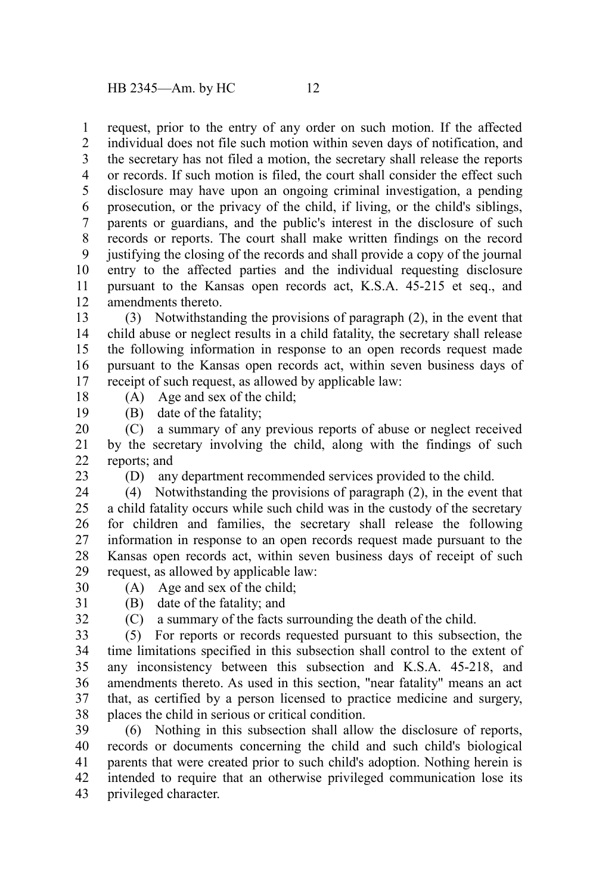request, prior to the entry of any order on such motion. If the affected 1

individual does not file such motion within seven days of notification, and the secretary has not filed a motion, the secretary shall release the reports or records. If such motion is filed, the court shall consider the effect such disclosure may have upon an ongoing criminal investigation, a pending prosecution, or the privacy of the child, if living, or the child's siblings, parents or guardians, and the public's interest in the disclosure of such records or reports. The court shall make written findings on the record justifying the closing of the records and shall provide a copy of the journal entry to the affected parties and the individual requesting disclosure pursuant to the Kansas open records act, K.S.A. 45-215 et seq., and amendments thereto. 2 3 4 5 6 7 8 9 10 11 12

(3) Notwithstanding the provisions of paragraph (2), in the event that child abuse or neglect results in a child fatality, the secretary shall release the following information in response to an open records request made pursuant to the Kansas open records act, within seven business days of receipt of such request, as allowed by applicable law: 13 14 15 16 17

18

(A) Age and sex of the child;

(B) date of the fatality; 19

(C) a summary of any previous reports of abuse or neglect received by the secretary involving the child, along with the findings of such reports; and 20 21 22

23

(D) any department recommended services provided to the child.

(4) Notwithstanding the provisions of paragraph (2), in the event that a child fatality occurs while such child was in the custody of the secretary for children and families, the secretary shall release the following information in response to an open records request made pursuant to the Kansas open records act, within seven business days of receipt of such request, as allowed by applicable law: 24 25 26 27 28 29

- (A) Age and sex of the child; 30
- 31 32

# (B) date of the fatality; and

(C) a summary of the facts surrounding the death of the child.

(5) For reports or records requested pursuant to this subsection, the time limitations specified in this subsection shall control to the extent of any inconsistency between this subsection and K.S.A. 45-218, and amendments thereto. As used in this section, "near fatality" means an act that, as certified by a person licensed to practice medicine and surgery, places the child in serious or critical condition. 33 34 35 36 37 38

(6) Nothing in this subsection shall allow the disclosure of reports, records or documents concerning the child and such child's biological parents that were created prior to such child's adoption. Nothing herein is intended to require that an otherwise privileged communication lose its privileged character. 39 40 41 42 43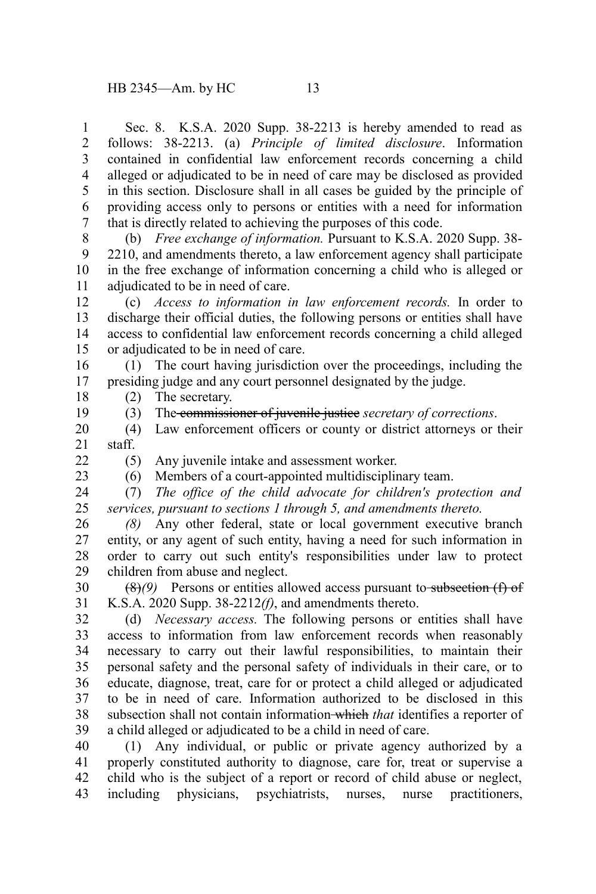Sec. 8. K.S.A. 2020 Supp. 38-2213 is hereby amended to read as follows: 38-2213. (a) *Principle of limited disclosure*. Information contained in confidential law enforcement records concerning a child alleged or adjudicated to be in need of care may be disclosed as provided in this section. Disclosure shall in all cases be guided by the principle of providing access only to persons or entities with a need for information that is directly related to achieving the purposes of this code. 1 2 3 4 5 6 7

(b) *Free exchange of information.* Pursuant to K.S.A. 2020 Supp. 38- 2210, and amendments thereto, a law enforcement agency shall participate in the free exchange of information concerning a child who is alleged or adjudicated to be in need of care. 8 9 10 11

(c) *Access to information in law enforcement records.* In order to discharge their official duties, the following persons or entities shall have access to confidential law enforcement records concerning a child alleged or adjudicated to be in need of care. 12 13 14 15

(1) The court having jurisdiction over the proceedings, including the presiding judge and any court personnel designated by the judge. 16 17

(2) The secretary.

18 19

(3) The commissioner of juvenile justice *secretary of corrections*.

(4) Law enforcement officers or county or district attorneys or their staff. 20 21

 $22$ 

23

(5) Any juvenile intake and assessment worker.

(6) Members of a court-appointed multidisciplinary team.

(7) *The office of the child advocate for children's protection and services, pursuant to sections 1 through 5, and amendments thereto.* 24 25

*(8)* Any other federal, state or local government executive branch entity, or any agent of such entity, having a need for such information in order to carry out such entity's responsibilities under law to protect children from abuse and neglect. 26 27 28 29

(8)<sup>(9)</sup> Persons or entities allowed access pursuant to-subsection (f) of K.S.A. 2020 Supp. 38-2212*(f)*, and amendments thereto. 30 31

(d) *Necessary access.* The following persons or entities shall have access to information from law enforcement records when reasonably necessary to carry out their lawful responsibilities, to maintain their personal safety and the personal safety of individuals in their care, or to educate, diagnose, treat, care for or protect a child alleged or adjudicated to be in need of care. Information authorized to be disclosed in this subsection shall not contain information which *that* identifies a reporter of a child alleged or adjudicated to be a child in need of care. 32 33 34 35 36 37 38 39

(1) Any individual, or public or private agency authorized by a properly constituted authority to diagnose, care for, treat or supervise a child who is the subject of a report or record of child abuse or neglect, including physicians, psychiatrists, nurses, nurse practitioners, 40 41 42 43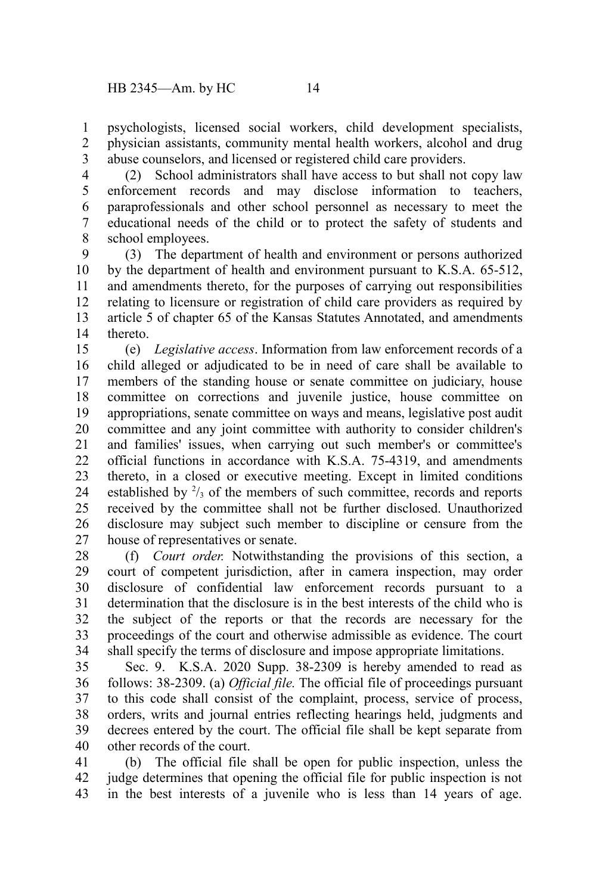psychologists, licensed social workers, child development specialists, physician assistants, community mental health workers, alcohol and drug abuse counselors, and licensed or registered child care providers. 1 2 3

(2) School administrators shall have access to but shall not copy law enforcement records and may disclose information to teachers, paraprofessionals and other school personnel as necessary to meet the educational needs of the child or to protect the safety of students and school employees. 4 5 6 7 8

(3) The department of health and environment or persons authorized by the department of health and environment pursuant to K.S.A. 65-512, and amendments thereto, for the purposes of carrying out responsibilities relating to licensure or registration of child care providers as required by article 5 of chapter 65 of the Kansas Statutes Annotated, and amendments thereto. 9 10 11 12 13 14

(e) *Legislative access*. Information from law enforcement records of a child alleged or adjudicated to be in need of care shall be available to members of the standing house or senate committee on judiciary, house committee on corrections and juvenile justice, house committee on appropriations, senate committee on ways and means, legislative post audit committee and any joint committee with authority to consider children's and families' issues, when carrying out such member's or committee's official functions in accordance with K.S.A. 75-4319, and amendments thereto, in a closed or executive meeting. Except in limited conditions established by  $\frac{2}{3}$  of the members of such committee, records and reports received by the committee shall not be further disclosed. Unauthorized disclosure may subject such member to discipline or censure from the house of representatives or senate. 15 16 17 18 19 20 21 22 23 24 25 26 27

(f) *Court order.* Notwithstanding the provisions of this section, a court of competent jurisdiction, after in camera inspection, may order disclosure of confidential law enforcement records pursuant to a determination that the disclosure is in the best interests of the child who is the subject of the reports or that the records are necessary for the proceedings of the court and otherwise admissible as evidence. The court shall specify the terms of disclosure and impose appropriate limitations. 28 29 30 31 32 33 34

Sec. 9. K.S.A. 2020 Supp. 38-2309 is hereby amended to read as follows: 38-2309. (a) *Official file.* The official file of proceedings pursuant to this code shall consist of the complaint, process, service of process, orders, writs and journal entries reflecting hearings held, judgments and decrees entered by the court. The official file shall be kept separate from other records of the court. 35 36 37 38 39 40

(b) The official file shall be open for public inspection, unless the judge determines that opening the official file for public inspection is not in the best interests of a juvenile who is less than 14 years of age. 41 42 43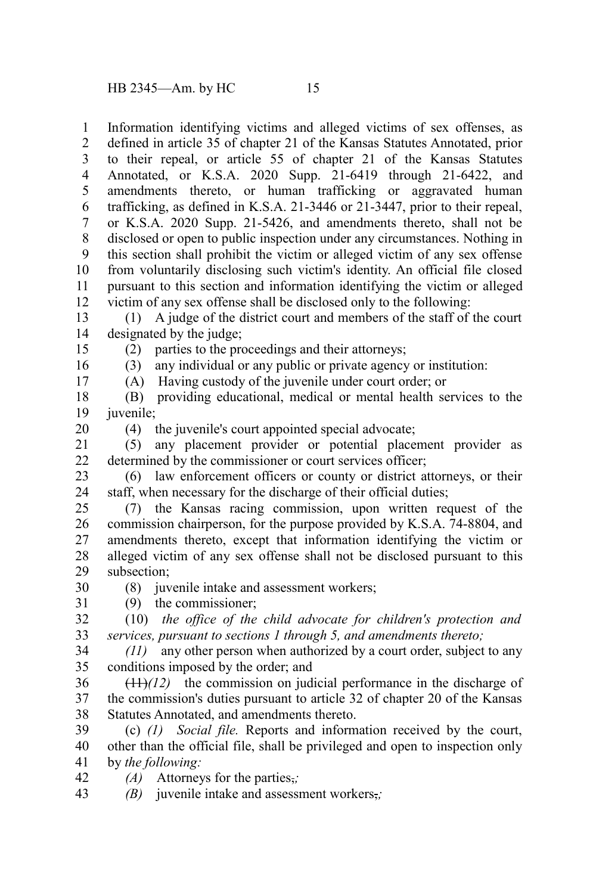Information identifying victims and alleged victims of sex offenses, as defined in article 35 of chapter 21 of the Kansas Statutes Annotated, prior to their repeal, or article 55 of chapter 21 of the Kansas Statutes Annotated, or K.S.A. 2020 Supp. 21-6419 through 21-6422, and amendments thereto, or human trafficking or aggravated human trafficking, as defined in K.S.A. 21-3446 or 21-3447, prior to their repeal, or K.S.A. 2020 Supp. 21-5426, and amendments thereto, shall not be disclosed or open to public inspection under any circumstances. Nothing in this section shall prohibit the victim or alleged victim of any sex offense from voluntarily disclosing such victim's identity. An official file closed pursuant to this section and information identifying the victim or alleged victim of any sex offense shall be disclosed only to the following: 1 2 3 4 5 6 7 8 9 10 11 12

(1) A judge of the district court and members of the staff of the court designated by the judge; 13 14

(2) parties to the proceedings and their attorneys;

15 16 17

(3) any individual or any public or private agency or institution: (A) Having custody of the juvenile under court order; or

(B) providing educational, medical or mental health services to the iuvenile: 18 19

20

30 31 (4) the juvenile's court appointed special advocate;

(5) any placement provider or potential placement provider as determined by the commissioner or court services officer; 21 22

(6) law enforcement officers or county or district attorneys, or their staff, when necessary for the discharge of their official duties; 23 24

(7) the Kansas racing commission, upon written request of the commission chairperson, for the purpose provided by K.S.A. 74-8804, and amendments thereto, except that information identifying the victim or alleged victim of any sex offense shall not be disclosed pursuant to this subsection; 25 26 27 28 29

(8) juvenile intake and assessment workers;

(9) the commissioner;

(10) *the office of the child advocate for children's protection and services, pursuant to sections 1 through 5, and amendments thereto;* 32 33

*(11)* any other person when authorized by a court order, subject to any conditions imposed by the order; and 34 35

 $(11)$  $(12)$  the commission on judicial performance in the discharge of the commission's duties pursuant to article 32 of chapter 20 of the Kansas Statutes Annotated, and amendments thereto. 36 37 38

(c) *(1) Social file.* Reports and information received by the court, other than the official file, shall be privileged and open to inspection only by *the following:* 39 40 41

- *(A)* Attorneys for the parties,*;* 42
- *(B)* juvenile intake and assessment workers,*;* 43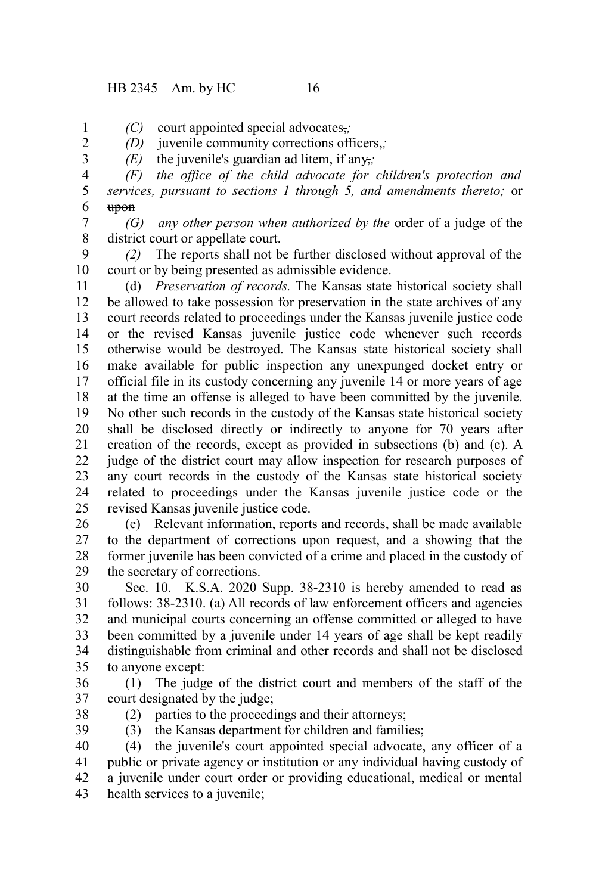### HB 2345—Am. by HC 16

1 2 3 *(C)* court appointed special advocates,*;*

*(D)* juvenile community corrections officers,*;*

*(E)* the juvenile's guardian ad litem, if any<sub> $\overline{z}$ </sub>

*(F) the office of the child advocate for children's protection and services, pursuant to sections 1 through 5, and amendments thereto;* or upon 4 5 6

*(G) any other person when authorized by the* order of a judge of the district court or appellate court. 7 8

*(2)* The reports shall not be further disclosed without approval of the court or by being presented as admissible evidence. 9 10

(d) *Preservation of records.* The Kansas state historical society shall be allowed to take possession for preservation in the state archives of any court records related to proceedings under the Kansas juvenile justice code or the revised Kansas juvenile justice code whenever such records otherwise would be destroyed. The Kansas state historical society shall make available for public inspection any unexpunged docket entry or official file in its custody concerning any juvenile 14 or more years of age at the time an offense is alleged to have been committed by the juvenile. No other such records in the custody of the Kansas state historical society shall be disclosed directly or indirectly to anyone for 70 years after creation of the records, except as provided in subsections (b) and (c). A judge of the district court may allow inspection for research purposes of any court records in the custody of the Kansas state historical society related to proceedings under the Kansas juvenile justice code or the revised Kansas juvenile justice code. 11 12 13 14 15 16 17 18 19 20 21 22 23 24 25

(e) Relevant information, reports and records, shall be made available to the department of corrections upon request, and a showing that the former juvenile has been convicted of a crime and placed in the custody of the secretary of corrections. 26 27 28 29

Sec. 10. K.S.A. 2020 Supp. 38-2310 is hereby amended to read as follows: 38-2310. (a) All records of law enforcement officers and agencies and municipal courts concerning an offense committed or alleged to have been committed by a juvenile under 14 years of age shall be kept readily distinguishable from criminal and other records and shall not be disclosed to anyone except: 30 31 32 33 34 35

- (1) The judge of the district court and members of the staff of the court designated by the judge; 36 37
- 38

39

(2) parties to the proceedings and their attorneys; (3) the Kansas department for children and families;

(4) the juvenile's court appointed special advocate, any officer of a public or private agency or institution or any individual having custody of a juvenile under court order or providing educational, medical or mental health services to a juvenile; 40 41 42 43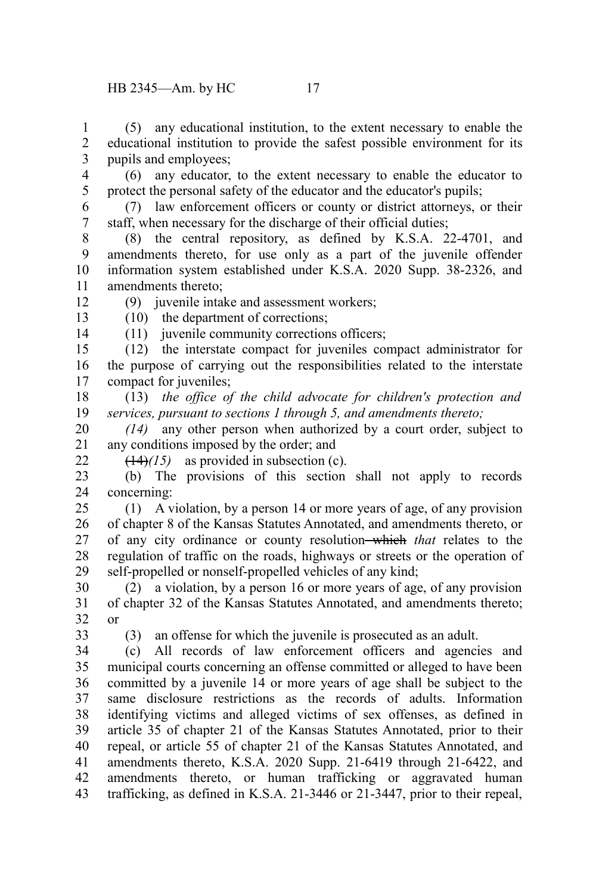(5) any educational institution, to the extent necessary to enable the educational institution to provide the safest possible environment for its pupils and employees; 1 2 3

4 5

(6) any educator, to the extent necessary to enable the educator to protect the personal safety of the educator and the educator's pupils;

- (7) law enforcement officers or county or district attorneys, or their staff, when necessary for the discharge of their official duties; 6 7
- (8) the central repository, as defined by K.S.A. 22-4701, and amendments thereto, for use only as a part of the juvenile offender information system established under K.S.A. 2020 Supp. 38-2326, and amendments thereto; 8 9 10 11
	- (9) juvenile intake and assessment workers;

(10) the department of corrections;

13 14

22

12

- (11) juvenile community corrections officers;
- (12) the interstate compact for juveniles compact administrator for the purpose of carrying out the responsibilities related to the interstate compact for juveniles; 15 16 17
- (13) *the office of the child advocate for children's protection and services, pursuant to sections 1 through 5, and amendments thereto;* 18 19
- *(14)* any other person when authorized by a court order, subject to any conditions imposed by the order; and 20 21
	- (14)*(15)* as provided in subsection (c).
- (b) The provisions of this section shall not apply to records concerning: 23 24
- (1) A violation, by a person 14 or more years of age, of any provision of chapter 8 of the Kansas Statutes Annotated, and amendments thereto, or of any city ordinance or county resolution which *that* relates to the regulation of traffic on the roads, highways or streets or the operation of self-propelled or nonself-propelled vehicles of any kind; 25 26 27 28 29
- (2) a violation, by a person 16 or more years of age, of any provision of chapter 32 of the Kansas Statutes Annotated, and amendments thereto; or 30 31 32
- 33
- (3) an offense for which the juvenile is prosecuted as an adult.

(c) All records of law enforcement officers and agencies and municipal courts concerning an offense committed or alleged to have been committed by a juvenile 14 or more years of age shall be subject to the same disclosure restrictions as the records of adults. Information identifying victims and alleged victims of sex offenses, as defined in article 35 of chapter 21 of the Kansas Statutes Annotated, prior to their repeal, or article 55 of chapter 21 of the Kansas Statutes Annotated, and amendments thereto, K.S.A. 2020 Supp. 21-6419 through 21-6422, and amendments thereto, or human trafficking or aggravated human trafficking, as defined in K.S.A. 21-3446 or 21-3447, prior to their repeal, 34 35 36 37 38 39 40 41 42 43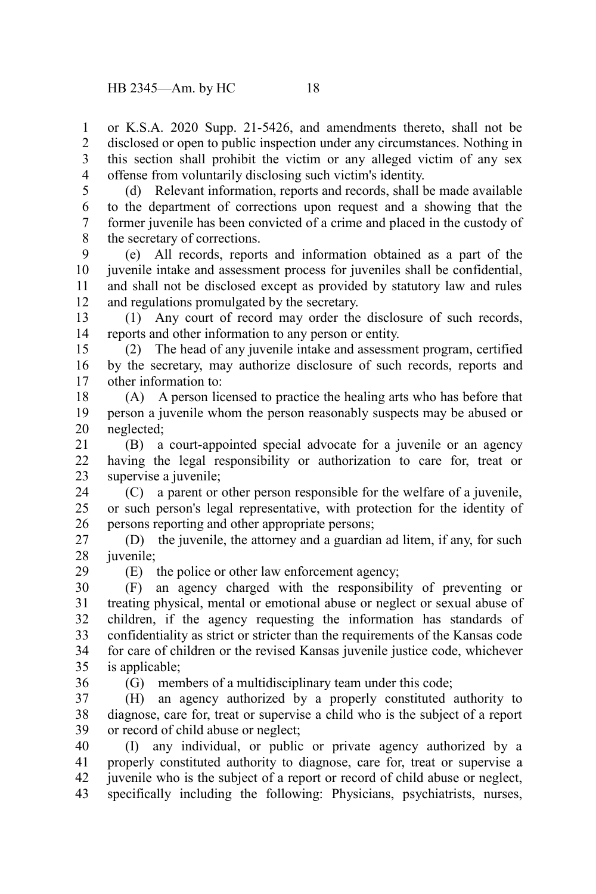or K.S.A. 2020 Supp. 21-5426, and amendments thereto, shall not be disclosed or open to public inspection under any circumstances. Nothing in this section shall prohibit the victim or any alleged victim of any sex offense from voluntarily disclosing such victim's identity. 1 2 3 4

5

(d) Relevant information, reports and records, shall be made available to the department of corrections upon request and a showing that the former juvenile has been convicted of a crime and placed in the custody of the secretary of corrections. 6 7 8

(e) All records, reports and information obtained as a part of the juvenile intake and assessment process for juveniles shall be confidential, and shall not be disclosed except as provided by statutory law and rules and regulations promulgated by the secretary. 9 10 11 12

(1) Any court of record may order the disclosure of such records, reports and other information to any person or entity. 13 14

(2) The head of any juvenile intake and assessment program, certified by the secretary, may authorize disclosure of such records, reports and other information to: 15 16 17

(A) A person licensed to practice the healing arts who has before that person a juvenile whom the person reasonably suspects may be abused or neglected; 18 19 20

(B) a court-appointed special advocate for a juvenile or an agency having the legal responsibility or authorization to care for, treat or supervise a juvenile: 21 22 23

(C) a parent or other person responsible for the welfare of a juvenile, or such person's legal representative, with protection for the identity of persons reporting and other appropriate persons; 24 25 26

(D) the juvenile, the attorney and a guardian ad litem, if any, for such juvenile; 27 28

(E) the police or other law enforcement agency;

(F) an agency charged with the responsibility of preventing or treating physical, mental or emotional abuse or neglect or sexual abuse of children, if the agency requesting the information has standards of confidentiality as strict or stricter than the requirements of the Kansas code for care of children or the revised Kansas juvenile justice code, whichever is applicable; 30 31 32 33 34 35

36

29

(G) members of a multidisciplinary team under this code;

(H) an agency authorized by a properly constituted authority to diagnose, care for, treat or supervise a child who is the subject of a report or record of child abuse or neglect; 37 38 39

(I) any individual, or public or private agency authorized by a properly constituted authority to diagnose, care for, treat or supervise a juvenile who is the subject of a report or record of child abuse or neglect, specifically including the following: Physicians, psychiatrists, nurses, 40 41 42 43